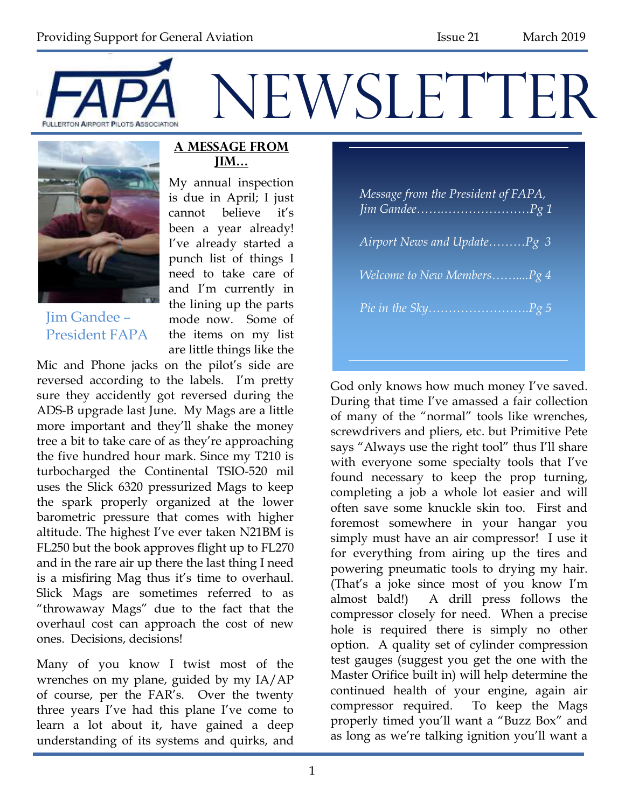



Jim Gandee – President FAPA

#### **A Message from Jim…**

My annual inspection is due in April; I just cannot believe it's been a year already! I've already started a punch list of things I need to take care of and I'm currently in the lining up the parts mode now. Some of the items on my list are little things like the

Mic and Phone jacks on the pilot's side are reversed according to the labels. I'm pretty sure they accidently got reversed during the ADS-B upgrade last June. My Mags are a little more important and they'll shake the money tree a bit to take care of as they're approaching the five hundred hour mark. Since my T210 is turbocharged the Continental TSIO-520 mil uses the Slick 6320 pressurized Mags to keep the spark properly organized at the lower barometric pressure that comes with higher altitude. The highest I've ever taken N21BM is FL250 but the book approves flight up to FL270 and in the rare air up there the last thing I need is a misfiring Mag thus it's time to overhaul. Slick Mags are sometimes referred to as "throwaway Mags" due to the fact that the overhaul cost can approach the cost of new ones. Decisions, decisions!

Many of you know I twist most of the wrenches on my plane, guided by my IA/AP of course, per the FAR's. Over the twenty three years I've had this plane I've come to learn a lot about it, have gained a deep understanding of its systems and quirks, and

| Message from the President of FAPA, |
|-------------------------------------|
| Airport News and UpdatePg 3         |
| Welcome to New MembersPg 4          |
|                                     |

God only knows how much money I've saved. During that time I've amassed a fair collection of many of the "normal" tools like wrenches, screwdrivers and pliers, etc. but Primitive Pete says "Always use the right tool" thus I'll share with everyone some specialty tools that I've found necessary to keep the prop turning, completing a job a whole lot easier and will often save some knuckle skin too. First and foremost somewhere in your hangar you simply must have an air compressor! I use it for everything from airing up the tires and powering pneumatic tools to drying my hair. (That's a joke since most of you know I'm almost bald!) A drill press follows the compressor closely for need. When a precise hole is required there is simply no other option. A quality set of cylinder compression test gauges (suggest you get the one with the Master Orifice built in) will help determine the continued health of your engine, again air compressor required. To keep the Mags properly timed you'll want a "Buzz Box" and as long as we're talking ignition you'll want a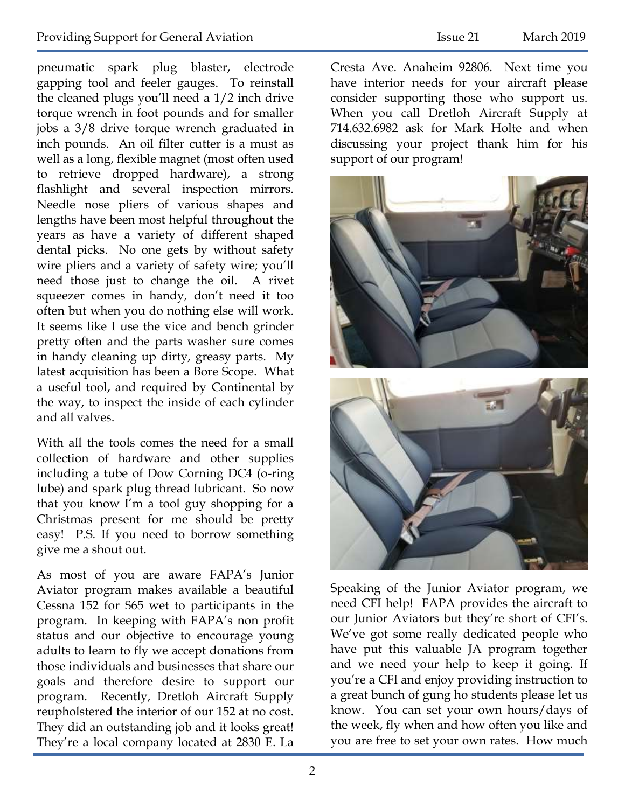pneumatic spark plug blaster, electrode gapping tool and feeler gauges. To reinstall the cleaned plugs you'll need a 1/2 inch drive torque wrench in foot pounds and for smaller jobs a 3/8 drive torque wrench graduated in inch pounds. An oil filter cutter is a must as well as a long, flexible magnet (most often used to retrieve dropped hardware), a strong flashlight and several inspection mirrors. Needle nose pliers of various shapes and lengths have been most helpful throughout the years as have a variety of different shaped dental picks. No one gets by without safety wire pliers and a variety of safety wire; you'll need those just to change the oil. A rivet squeezer comes in handy, don't need it too often but when you do nothing else will work. It seems like I use the vice and bench grinder pretty often and the parts washer sure comes in handy cleaning up dirty, greasy parts. My latest acquisition has been a Bore Scope. What a useful tool, and required by Continental by the way, to inspect the inside of each cylinder and all valves.

With all the tools comes the need for a small collection of hardware and other supplies including a tube of Dow Corning DC4 (o-ring lube) and spark plug thread lubricant. So now that you know I'm a tool guy shopping for a Christmas present for me should be pretty easy! P.S. If you need to borrow something give me a shout out.

As most of you are aware FAPA's Junior Aviator program makes available a beautiful Cessna 152 for \$65 wet to participants in the program. In keeping with FAPA's non profit status and our objective to encourage young adults to learn to fly we accept donations from those individuals and businesses that share our goals and therefore desire to support our program. Recently, Dretloh Aircraft Supply reupholstered the interior of our 152 at no cost. They did an outstanding job and it looks great! They're a local company located at 2830 E. La

Cresta Ave. Anaheim 92806. Next time you have interior needs for your aircraft please consider supporting those who support us. When you call Dretloh Aircraft Supply at 714.632.6982 ask for Mark Holte and when discussing your project thank him for his support of our program!



Speaking of the Junior Aviator program, we need CFI help! FAPA provides the aircraft to our Junior Aviators but they're short of CFI's. We've got some really dedicated people who have put this valuable JA program together and we need your help to keep it going. If you're a CFI and enjoy providing instruction to a great bunch of gung ho students please let us know. You can set your own hours/days of the week, fly when and how often you like and you are free to set your own rates. How much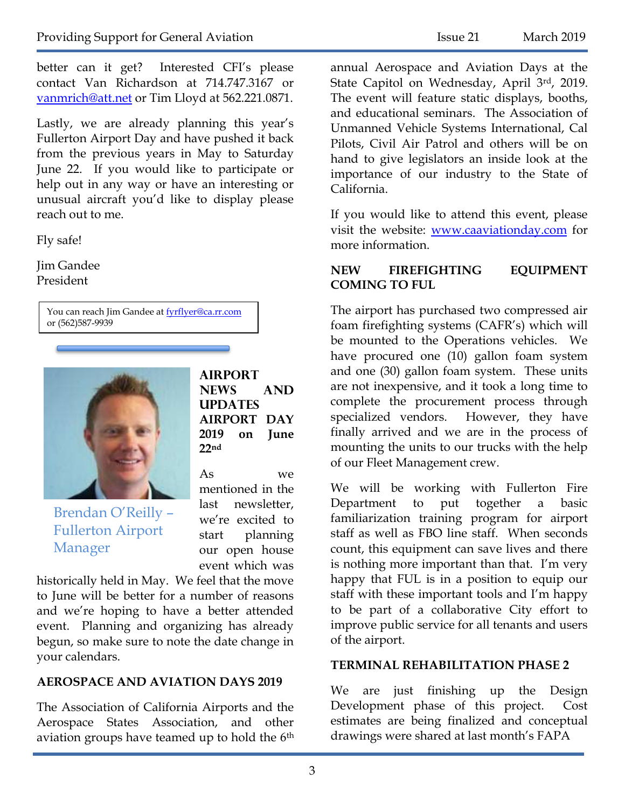better can it get? Interested CFI's please contact Van Richardson at 714.747.3167 or [vanmrich@att.net](mailto:vanmrich@att.net) or Tim Lloyd at 562.221.0871.

Lastly, we are already planning this year's Fullerton Airport Day and have pushed it back from the previous years in May to Saturday June 22. If you would like to participate or help out in any way or have an interesting or unusual aircraft you'd like to display please reach out to me.

Fly safe!

Jim Gandee President

> You can reach Jim Gandee at [fyrflyer@ca.rr.com](mailto:fyrflyer@ca.rr.com) or (562)587-9939



Brendan O'Reilly – Fullerton Airport Manager

**Airport News and UPDATES AIRPORT DAY 2019 on June 22nd** 

As we mentioned in the last newsletter, we're excited to start planning our open house event which was

historically held in May. We feel that the move to June will be better for a number of reasons and we're hoping to have a better attended event. Planning and organizing has already begun, so make sure to note the date change in your calendars.

#### **AEROSPACE AND AVIATION DAYS 2019**

The Association of California Airports and the Aerospace States Association, and other aviation groups have teamed up to hold the 6<sup>th</sup> annual Aerospace and Aviation Days at the State Capitol on Wednesday, April 3rd, 2019. The event will feature static displays, booths, and educational seminars. The Association of Unmanned Vehicle Systems International, Cal Pilots, Civil Air Patrol and others will be on hand to give legislators an inside look at the importance of our industry to the State of California.

If you would like to attend this event, please visit the website: [www.caaviationday.com](http://www.caaviationday.com/) for more information.

#### **NEW FIREFIGHTING EQUIPMENT COMING TO FUL**

The airport has purchased two compressed air foam firefighting systems (CAFR's) which will be mounted to the Operations vehicles. We have procured one (10) gallon foam system and one (30) gallon foam system. These units are not inexpensive, and it took a long time to complete the procurement process through specialized vendors. However, they have finally arrived and we are in the process of mounting the units to our trucks with the help of our Fleet Management crew.

We will be working with Fullerton Fire Department to put together a basic familiarization training program for airport staff as well as FBO line staff. When seconds count, this equipment can save lives and there is nothing more important than that. I'm very happy that FUL is in a position to equip our staff with these important tools and I'm happy to be part of a collaborative City effort to improve public service for all tenants and users of the airport.

#### **TERMINAL REHABILITATION PHASE 2**

We are just finishing up the Design Development phase of this project. Cost estimates are being finalized and conceptual drawings were shared at last month's FAPA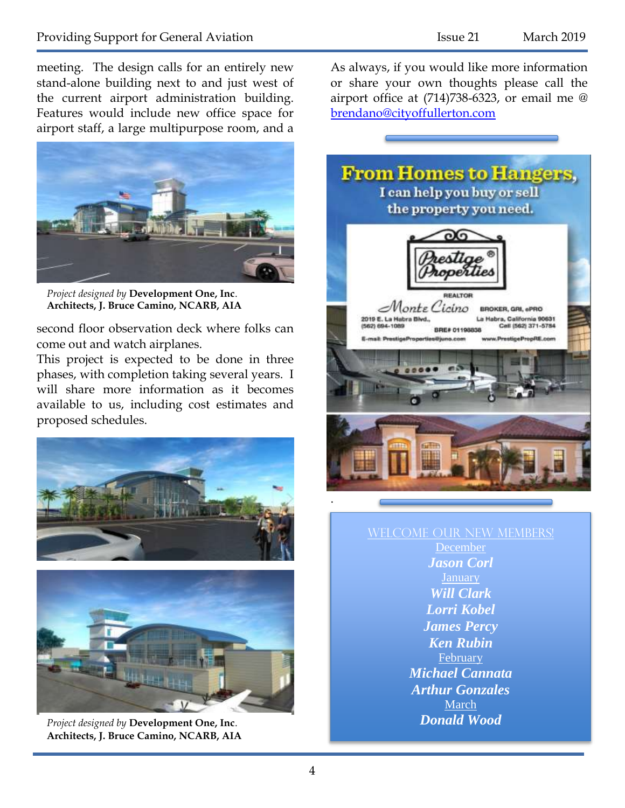meeting. The design calls for an entirely new stand-alone building next to and just west of the current airport administration building. Features would include new office space for airport staff, a large multipurpose room, and a



*Project designed by* **Development One, Inc**. **Architects, J. Bruce Camino, NCARB, AIA**

second floor observation deck where folks can come out and watch airplanes.

This project is expected to be done in three phases, with completion taking several years. I will share more information as it becomes available to us, including cost estimates and proposed schedules.





*Project designed by* **Development One, Inc**. **Architects, J. Bruce Camino, NCARB, AIA**

As always, if you would like more information or share your own thoughts please call the airport office at (714)738-6323, or email me @ [brendano@cityoffullerton.com](mailto:brendano@cityoffullerton.com)



#### WELCOME OUR NEW MEMBERS! December *Jason Corl*

*Will Clark Lorri Kobel James Percy Ken Rubin* February *Michael Cannata Arthur Gonzales* **March** *Donald Wood*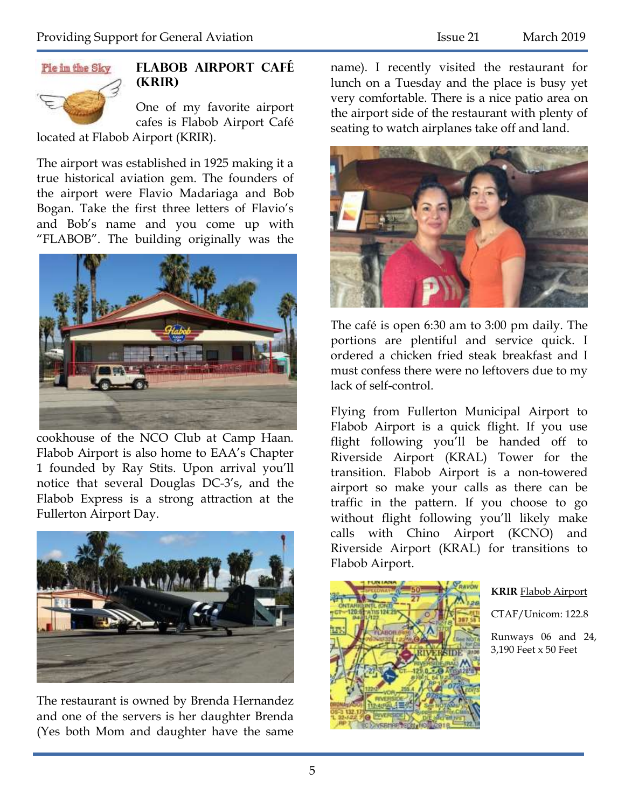

### **Flabob Airport Café (KRIR)**

One of my favorite airport cafes is Flabob Airport Café

located at Flabob Airport (KRIR).

The airport was established in 1925 making it a true historical aviation gem. The founders of the airport were Flavio Madariaga and Bob Bogan. Take the first three letters of Flavio's and Bob's name and you come up with "FLABOB". The building originally was the



cookhouse of the NCO Club at Camp Haan. Flabob Airport is also home to EAA's Chapter 1 founded by Ray Stits. Upon arrival you'll notice that several Douglas DC-3's, and the Flabob Express is a strong attraction at the Fullerton Airport Day.



The restaurant is owned by Brenda Hernandez and one of the servers is her daughter Brenda (Yes both Mom and daughter have the same name). I recently visited the restaurant for lunch on a Tuesday and the place is busy yet very comfortable. There is a nice patio area on the airport side of the restaurant with plenty of seating to watch airplanes take off and land.



The café is open 6:30 am to 3:00 pm daily. The portions are plentiful and service quick. I ordered a chicken fried steak breakfast and I must confess there were no leftovers due to my lack of self-control.

Flying from Fullerton Municipal Airport to Flabob Airport is a quick flight. If you use flight following you'll be handed off to Riverside Airport (KRAL) Tower for the transition. Flabob Airport is a non-towered airport so make your calls as there can be traffic in the pattern. If you choose to go without flight following you'll likely make calls with Chino Airport (KCNO) and Riverside Airport (KRAL) for transitions to Flabob Airport.



#### **KRIR** Flabob Airport

CTAF/Unicom: 122.8

Runways 06 and 24, 3,190 Feet x 50 Feet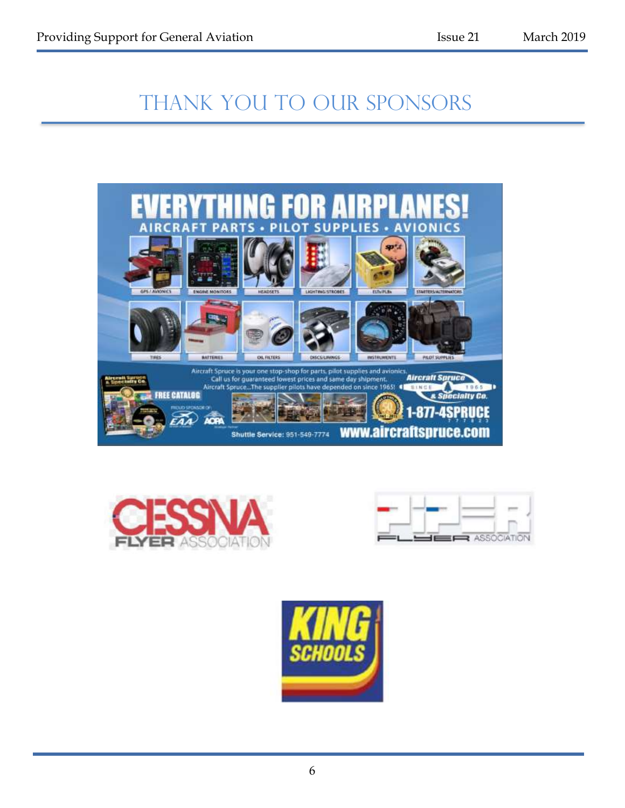# THANK YOU TO OUR SPONSORS